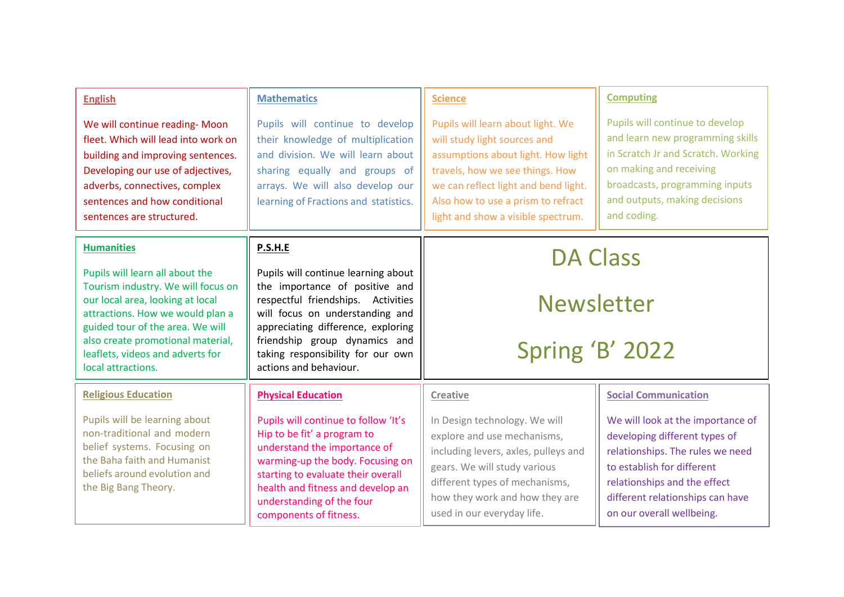| <b>English</b><br>We will continue reading- Moon<br>fleet. Which will lead into work on<br>building and improving sentences.<br>Developing our use of adjectives,<br>adverbs, connectives, complex<br>sentences and how conditional<br>sentences are structured.                                      | <b>Mathematics</b><br>Pupils will continue to develop<br>their knowledge of multiplication<br>and division. We will learn about<br>sharing equally and groups of<br>arrays. We will also develop our<br>learning of Fractions and statistics.                                                          | <b>Science</b><br>Pupils will learn about light. We<br>will study light sources and<br>assumptions about light. How light<br>travels, how we see things. How<br>we can reflect light and bend light.<br>Also how to use a prism to refract<br>light and show a visible spectrum. | <b>Computing</b><br>Pupils will continue to develop<br>and learn new programming skills<br>in Scratch Jr and Scratch. Working<br>on making and receiving<br>broadcasts, programming inputs<br>and outputs, making decisions<br>and coding.                           |
|-------------------------------------------------------------------------------------------------------------------------------------------------------------------------------------------------------------------------------------------------------------------------------------------------------|--------------------------------------------------------------------------------------------------------------------------------------------------------------------------------------------------------------------------------------------------------------------------------------------------------|----------------------------------------------------------------------------------------------------------------------------------------------------------------------------------------------------------------------------------------------------------------------------------|----------------------------------------------------------------------------------------------------------------------------------------------------------------------------------------------------------------------------------------------------------------------|
| <b>Humanities</b><br>Pupils will learn all about the<br>Tourism industry. We will focus on<br>our local area, looking at local<br>attractions. How we would plan a<br>guided tour of the area. We will<br>also create promotional material,<br>leaflets, videos and adverts for<br>local attractions. | P.S.H.E<br>Pupils will continue learning about<br>the importance of positive and<br>respectful friendships. Activities<br>will focus on understanding and<br>appreciating difference, exploring<br>friendship group dynamics and<br>taking responsibility for our own<br>actions and behaviour.        | <b>DA Class</b><br><b>Newsletter</b><br>Spring 'B' 2022                                                                                                                                                                                                                          |                                                                                                                                                                                                                                                                      |
| <b>Religious Education</b><br>Pupils will be learning about<br>non-traditional and modern<br>belief systems. Focusing on<br>the Baha faith and Humanist<br>beliefs around evolution and<br>the Big Bang Theory.                                                                                       | <b>Physical Education</b><br>Pupils will continue to follow 'It's<br>Hip to be fit' a program to<br>understand the importance of<br>warming-up the body. Focusing on<br>starting to evaluate their overall<br>health and fitness and develop an<br>understanding of the four<br>components of fitness. | <b>Creative</b><br>In Design technology. We will<br>explore and use mechanisms,<br>including levers, axles, pulleys and<br>gears. We will study various<br>different types of mechanisms,<br>how they work and how they are<br>used in our everyday life.                        | <b>Social Communication</b><br>We will look at the importance of<br>developing different types of<br>relationships. The rules we need<br>to establish for different<br>relationships and the effect<br>different relationships can have<br>on our overall wellbeing. |